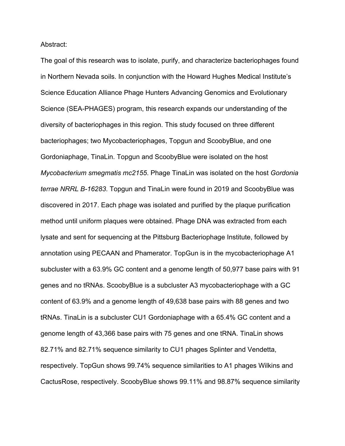Abstract:

The goal of this research was to isolate, purify, and characterize bacteriophages found in Northern Nevada soils. In conjunction with the Howard Hughes Medical Institute's Science Education Alliance Phage Hunters Advancing Genomics and Evolutionary Science (SEA-PHAGES) program, this research expands our understanding of the diversity of bacteriophages in this region. This study focused on three different bacteriophages; two Mycobacteriophages, Topgun and ScoobyBlue, and one Gordoniaphage, TinaLin. Topgun and ScoobyBlue were isolated on the host *Mycobacterium smegmatis mc2155*. Phage TinaLin was isolated on the host *Gordonia terrae NRRL B-16283*. Topgun and TinaLin were found in 2019 and ScoobyBlue was discovered in 2017. Each phage was isolated and purified by the plaque purification method until uniform plaques were obtained. Phage DNA was extracted from each lysate and sent for sequencing at the Pittsburg Bacteriophage Institute, followed by annotation using PECAAN and Phamerator. TopGun is in the mycobacteriophage A1 subcluster with a 63.9% GC content and a genome length of 50,977 base pairs with 91 genes and no tRNAs. ScoobyBlue is a subcluster A3 mycobacteriophage with a GC content of 63.9% and a genome length of 49,638 base pairs with 88 genes and two tRNAs. TinaLin is a subcluster CU1 Gordoniaphage with a 65.4% GC content and a genome length of 43,366 base pairs with 75 genes and one tRNA. TinaLin shows 82.71% and 82.71% sequence similarity to CU1 phages Splinter and Vendetta, respectively. TopGun shows 99.74% sequence similarities to A1 phages Wilkins and CactusRose, respectively. ScoobyBlue shows 99.11% and 98.87% sequence similarity